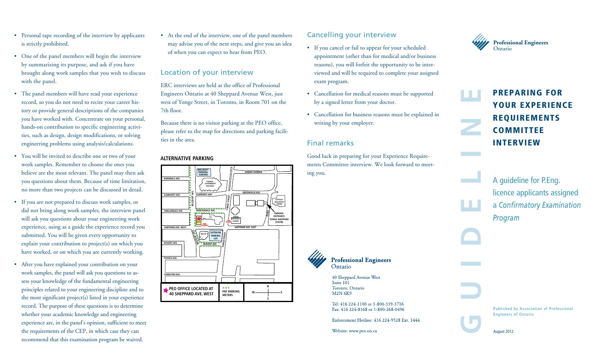- Personal tape recording of the interview by applicants is strictly prohibited.
- One of the panel members will begin the interview by summarizing its purpose, and ask if you have brought along work samples that you wish to discuss with the panel.
- The panel members will have read your experience record, so you do not need to recite your career history or provide general descriptions of the companies you have worked with. Concentrate on your personal, hands-on contribution to specific engineering activities, such as design, design modifications, or solving engineering problems using analysis/calculations.
- • You will be invited to describe one or two of your work samples. Remember to choose the ones you believe are the most relevant. The panel may then ask you questions about them. Because of time limitation, no more than two projects can be discussed in detail.
- If you are not prepared to discuss work samples, or did not bring along work samples, the interview panel will ask you questions about your engineering work experience, using as a guide the experience record you submitted. You will be given every opportunity to explain your contribution to project(s) on which you have worked, or on which you are currently working.
- After you have explained your contribution on your work samples, the panel will ask you questions to assess your knowledge of the fundamental engineering principles related to your engineering discipline and to the most significant project(s) listed in your experience record. The purpose of these questions is to determine whether your academic knowledge and engineering experience are, in the panel's opinion, sufficient to meet the requirements of the CEP, in which case they can recommend that this examination program be waived.

• At the end of the interview, one of the panel members may advise you of the next steps, and give you an idea of when you can expect to hear from PEO.

#### Location of your interview

ERC interviews are held at the office of Professional Engineers Ontario at 40 Sheppard Avenue West, just west of Yonge Street, in Toronto, in Room 701 on the 7th floor.

Because there is no visitor parking at the PEO office, please refer to the map for directions and parking facili-**Professional Engineers** ties in the area.

#### **ALTERNATIVE PARKING**



## Cancelling your interview

- If you cancel or fail to appear for your scheduled appointment (other than for medical and/or business reasons), you will forfeit the opportunity to be interviewed and will be required to complete your assigned exam program.
- • Cancellation for medical reasons must be supported by a signed letter from your doctor.
- • Cancellation for business reasons must be explained in writing by your employer.

#### Final remarks

Good luck in preparing for your Experience Requirements Committee interview. We look forward to meeting you.



**e**

Preparing for your Experience **REQUIREMENTS COMMITTEE INTERVIEW** 

A guideline for P.Eng. licence applicants assigned a *Confirmatory Examination Program* **COM**<br>
INTE<br>
A guid<br>
licence<br>
a Conf<br>
Progra

**Professional Engineers** Ontario

> 40 Sheppard Avenue West Suite 101 Toronto, Ontario **M2N 6K9**

Tel: 416 224-1100 or 1-800-339-3716 Fax: 416 224-8168 or 1-800-268-0496

Enforcement Hotline: 416 224-9528 Ext. 1444

Website: www.peo.on.ca

Published by Association of Professional Engineers of Ontario